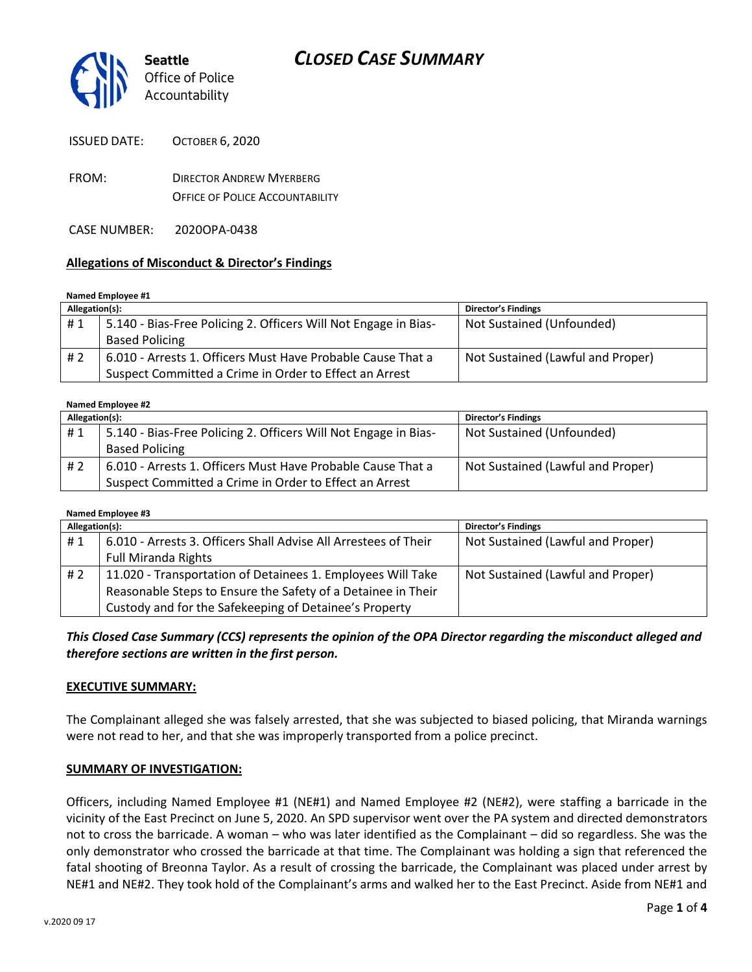

| <b>ISSUED DATE:</b> | <b>OCTOBER 6, 2020</b>          |
|---------------------|---------------------------------|
| FROM:               | <b>DIRECTOR ANDREW MYERBERG</b> |

OFFICE OF POLICE ACCOUNTABILITY

CASE NUMBER: 2020OPA-0438

### **Allegations of Misconduct & Director's Findings**

#### **Named Employee #1**

| Allegation(s): |                                                                 | <b>Director's Findings</b>        |
|----------------|-----------------------------------------------------------------|-----------------------------------|
| #1             | 5.140 - Bias-Free Policing 2. Officers Will Not Engage in Bias- | Not Sustained (Unfounded)         |
|                | <b>Based Policing</b>                                           |                                   |
| #2             | 6.010 - Arrests 1. Officers Must Have Probable Cause That a     | Not Sustained (Lawful and Proper) |
|                | Suspect Committed a Crime in Order to Effect an Arrest          |                                   |

## **Named Employee #2**

| Allegation(s): |                                                                 | Director's Findings               |
|----------------|-----------------------------------------------------------------|-----------------------------------|
| #1             | 5.140 - Bias-Free Policing 2. Officers Will Not Engage in Bias- | Not Sustained (Unfounded)         |
|                | <b>Based Policing</b>                                           |                                   |
| #2             | 6.010 - Arrests 1. Officers Must Have Probable Cause That a     | Not Sustained (Lawful and Proper) |
|                | Suspect Committed a Crime in Order to Effect an Arrest          |                                   |

#### **Named Employee #3**

| Allegation(s): |                                                                 | Director's Findings               |
|----------------|-----------------------------------------------------------------|-----------------------------------|
| #1             | 6.010 - Arrests 3. Officers Shall Advise All Arrestees of Their | Not Sustained (Lawful and Proper) |
|                | <b>Full Miranda Rights</b>                                      |                                   |
| #2             | 11.020 - Transportation of Detainees 1. Employees Will Take     | Not Sustained (Lawful and Proper) |
|                | Reasonable Steps to Ensure the Safety of a Detainee in Their    |                                   |
|                | Custody and for the Safekeeping of Detainee's Property          |                                   |

### *This Closed Case Summary (CCS) represents the opinion of the OPA Director regarding the misconduct alleged and therefore sections are written in the first person.*

### **EXECUTIVE SUMMARY:**

The Complainant alleged she was falsely arrested, that she was subjected to biased policing, that Miranda warnings were not read to her, and that she was improperly transported from a police precinct.

#### **SUMMARY OF INVESTIGATION:**

Officers, including Named Employee #1 (NE#1) and Named Employee #2 (NE#2), were staffing a barricade in the vicinity of the East Precinct on June 5, 2020. An SPD supervisor went over the PA system and directed demonstrators not to cross the barricade. A woman – who was later identified as the Complainant – did so regardless. She was the only demonstrator who crossed the barricade at that time. The Complainant was holding a sign that referenced the fatal shooting of Breonna Taylor. As a result of crossing the barricade, the Complainant was placed under arrest by NE#1 and NE#2. They took hold of the Complainant's arms and walked her to the East Precinct. Aside from NE#1 and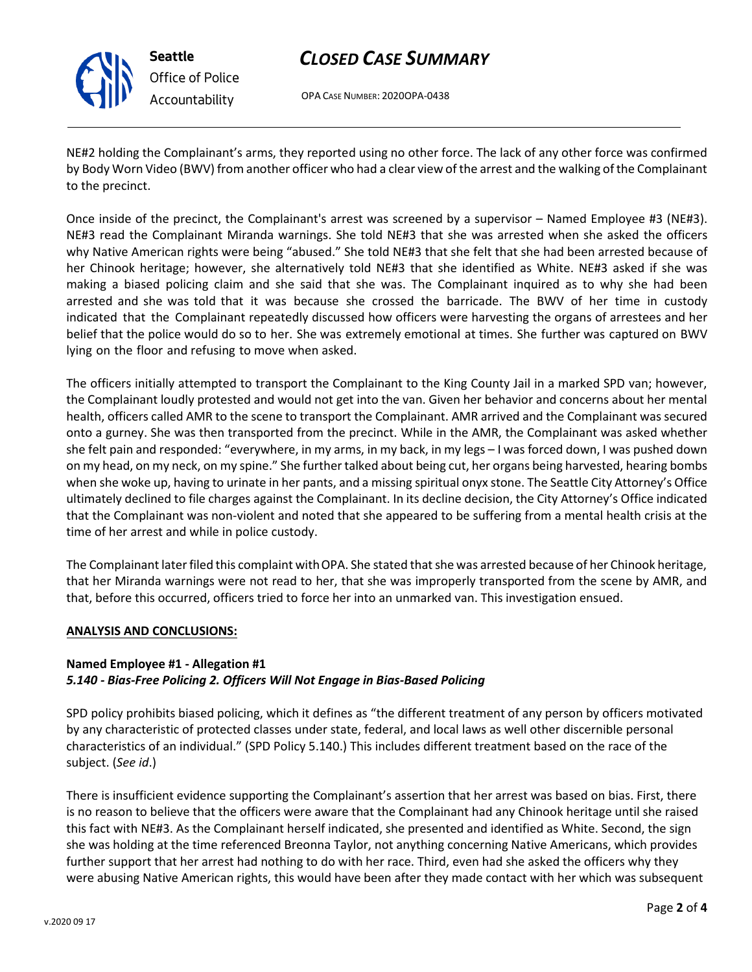

**Seattle** *Office of Police Accountability*

# *CLOSED CASE SUMMARY*

OPA CASE NUMBER: 2020OPA-0438

NE#2 holding the Complainant's arms, they reported using no other force. The lack of any other force was confirmed by Body Worn Video (BWV) from another officer who had a clear view of the arrest and the walking of the Complainant to the precinct.

Once inside of the precinct, the Complainant's arrest was screened by a supervisor – Named Employee #3 (NE#3). NE#3 read the Complainant Miranda warnings. She told NE#3 that she was arrested when she asked the officers why Native American rights were being "abused." She told NE#3 that she felt that she had been arrested because of her Chinook heritage; however, she alternatively told NE#3 that she identified as White. NE#3 asked if she was making a biased policing claim and she said that she was. The Complainant inquired as to why she had been arrested and she was told that it was because she crossed the barricade. The BWV of her time in custody indicated that the Complainant repeatedly discussed how officers were harvesting the organs of arrestees and her belief that the police would do so to her. She was extremely emotional at times. She further was captured on BWV lying on the floor and refusing to move when asked.

The officers initially attempted to transport the Complainant to the King County Jail in a marked SPD van; however, the Complainant loudly protested and would not get into the van. Given her behavior and concerns about her mental health, officers called AMR to the scene to transport the Complainant. AMR arrived and the Complainant was secured onto a gurney. She was then transported from the precinct. While in the AMR, the Complainant was asked whether she felt pain and responded: "everywhere, in my arms, in my back, in my legs – I was forced down, I was pushed down on my head, on my neck, on my spine." She further talked about being cut, her organs being harvested, hearing bombs when she woke up, having to urinate in her pants, and a missing spiritual onyx stone. The Seattle City Attorney's Office ultimately declined to file charges against the Complainant. In its decline decision, the City Attorney's Office indicated that the Complainant was non-violent and noted that she appeared to be suffering from a mental health crisis at the time of her arrest and while in police custody.

The Complainant later filed this complaint withOPA. She stated that she was arrested because of her Chinook heritage, that her Miranda warnings were not read to her, that she was improperly transported from the scene by AMR, and that, before this occurred, officers tried to force her into an unmarked van. This investigation ensued.

### **ANALYSIS AND CONCLUSIONS:**

### **Named Employee #1 - Allegation #1**  *5.140 - Bias-Free Policing 2. Officers Will Not Engage in Bias-Based Policing*

SPD policy prohibits biased policing, which it defines as "the different treatment of any person by officers motivated by any characteristic of protected classes under state, federal, and local laws as well other discernible personal characteristics of an individual." (SPD Policy 5.140.) This includes different treatment based on the race of the subject. (*See id*.)

There is insufficient evidence supporting the Complainant's assertion that her arrest was based on bias. First, there is no reason to believe that the officers were aware that the Complainant had any Chinook heritage until she raised this fact with NE#3. As the Complainant herself indicated, she presented and identified as White. Second, the sign she was holding at the time referenced Breonna Taylor, not anything concerning Native Americans, which provides further support that her arrest had nothing to do with her race. Third, even had she asked the officers why they were abusing Native American rights, this would have been after they made contact with her which was subsequent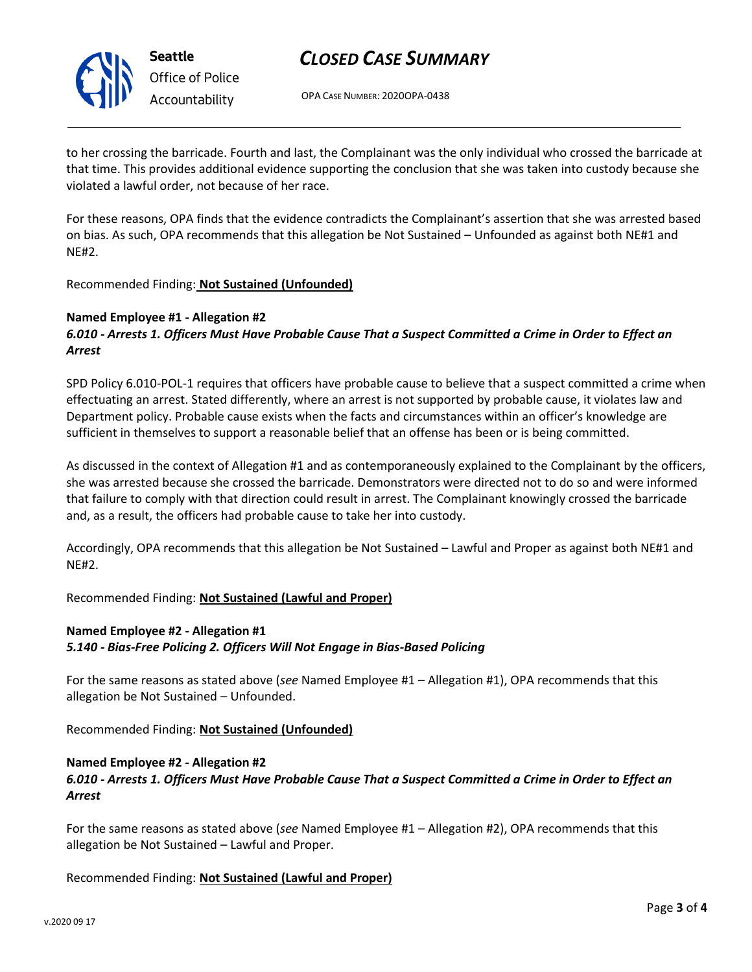

**Seattle** *Office of Police Accountability*

# *CLOSED CASE SUMMARY*

OPA CASE NUMBER: 2020OPA-0438

to her crossing the barricade. Fourth and last, the Complainant was the only individual who crossed the barricade at that time. This provides additional evidence supporting the conclusion that she was taken into custody because she violated a lawful order, not because of her race.

For these reasons, OPA finds that the evidence contradicts the Complainant's assertion that she was arrested based on bias. As such, OPA recommends that this allegation be Not Sustained – Unfounded as against both NE#1 and NE#2.

Recommended Finding: **Not Sustained (Unfounded)**

### **Named Employee #1 - Allegation #2**

### *6.010 - Arrests 1. Officers Must Have Probable Cause That a Suspect Committed a Crime in Order to Effect an Arrest*

SPD Policy 6.010-POL-1 requires that officers have probable cause to believe that a suspect committed a crime when effectuating an arrest. Stated differently, where an arrest is not supported by probable cause, it violates law and Department policy. Probable cause exists when the facts and circumstances within an officer's knowledge are sufficient in themselves to support a reasonable belief that an offense has been or is being committed.

As discussed in the context of Allegation #1 and as contemporaneously explained to the Complainant by the officers, she was arrested because she crossed the barricade. Demonstrators were directed not to do so and were informed that failure to comply with that direction could result in arrest. The Complainant knowingly crossed the barricade and, as a result, the officers had probable cause to take her into custody.

Accordingly, OPA recommends that this allegation be Not Sustained – Lawful and Proper as against both NE#1 and NE#2.

### Recommended Finding: **Not Sustained (Lawful and Proper)**

### **Named Employee #2 - Allegation #1**

*5.140 - Bias-Free Policing 2. Officers Will Not Engage in Bias-Based Policing*

For the same reasons as stated above (*see* Named Employee #1 – Allegation #1), OPA recommends that this allegation be Not Sustained – Unfounded.

Recommended Finding: **Not Sustained (Unfounded)**

### **Named Employee #2 - Allegation #2** *6.010 - Arrests 1. Officers Must Have Probable Cause That a Suspect Committed a Crime in Order to Effect an Arrest*

For the same reasons as stated above (*see* Named Employee #1 – Allegation #2), OPA recommends that this allegation be Not Sustained – Lawful and Proper.

Recommended Finding: **Not Sustained (Lawful and Proper)**